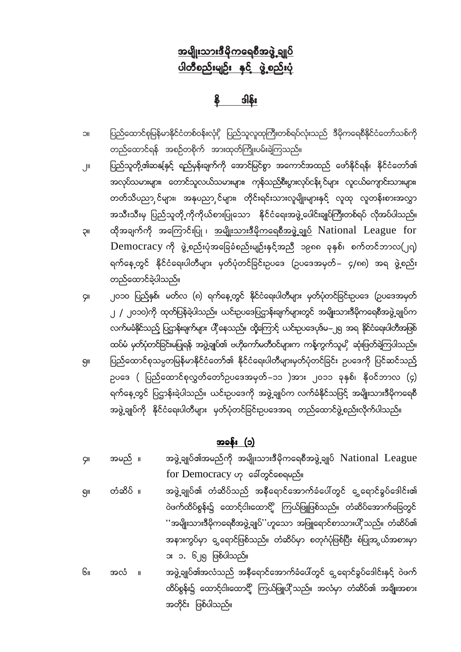# <u>အမျိုးသားဒီမိုကရေစီအဖွဲ့ ချုပ်</u> <u>ပါတီစည်းမျဉ်း နှင့် ဖွဲ့စည်းပုံ</u>

 $\frac{2}{3}$ 

- ၁။ ပြည်ထောင်စုမြန်မာနိုင်ငံတစ်ဝန်းလုံးှိ ပြည်သူလူထုကြီးတစ်ရပ်လုံးသည် ဒီမိုကရေစီနိုင်ငံတော်သစ်ကို တည်ထောင်ရန် အစဉ်တစိုက် အားထုတ်ကြိုးပမ်းခဲ့ကြသည်။
- ၂။ ပြည်သူတို့၏ဆနုနှင့် ရည်မှန်းချက်ကို အောင်မြင်စွာ အကောင်အထည် ဖော်နိုင်ရန်၊ နိုင်ငံတော်၏ အလုပ်သမားများ၊ တောင်သူလယ်သမားများ၊ ကုန်သည်စီးပွားလုပ်ငန်း,င်များ လူငယ်ကျောင်းသားများ၊ တတ်သိပညာ င်များ၊ အနုပညာ င်များ၊ တိုင်းရင်းသားလူမျိုးများနှင့် လူထု လူတန်းစားအလွှာ အသီးသီးမှ ပြည်သူတို့ကိုကိုယ်စားပြုသော နိုင်ငံရေးအဖွဲ့ ပေါင်းချုပ်ကြီးတစ်ရပ် လိုအပ်ပါသည်။
- ၃။ ထိုအချက်ကို အကြောင်းပြု ၊ <u>အမျိုးသားဒီမိုကရေစီအဖွဲ့ချုပ်</u> National League for  $Democracy$  ကို ဖွဲ့စည်းပုံအခြေခံစည်းမျဉ်းနှင့်အညီ ၁၉၈၈ ခုနှစ်၊ စက်တင်ဘာလ(၂၅) ရက်နေ့တွင် နိုင်ငံရေးပါတီများ မှတ်ပုံတင်ခြင်းဥပဒေ (ဥပဒေအမှတ်– ၄/၈၈) အရ ဖွဲ့စည်း တည်ထောင်ခဲ့ပါသည်။
- ၄။ ၂၀၁၀ ပြည့်နှစ်၊ မတ်လ (၈) ရက်နေ့တွင် နိုင်ငံရေးပါတီများ မှတ်ပုံတင်ခြင်းဥပဒေ (ဥပဒေအမှတ် ၂ / ၂၀၁၀)ကို ထုတ်ပြန်ခဲ့ပါသည်။ ယင်းဥပဒေပြဌာန်းချက်များတွင် အမျိုးသားဒီမိုကရေစီအဖွဲ့ချုပ်က လက်မခံနိုင်သည့် ပြဌာန်းချက်များ ပါ့နေသည်။ ထို့ကြောင့် ယင်းဥပဒေပုဒ်မ–၂ရ အရ နိုင်ငံရေးပါတီအဖြစ် ထပ်မံ မှတ်ပုံတင်ခြင်းမပြုရန် အဖွဲ့ချုပ်၏ ဗဟိုကော်မတီဝင်များက ကန့်ကွက်သူမှို ဆုံးဖြတ်ခဲ့ကြပါသည်။
- ရှ။ ပြည်ထောင်စုသမ္မတမြန်မာနိုင်ငံတော်၏ နိုင်ငံရေးပါတီများမှတ်ပုံတင်ခြင်း ဥပဒေကို ပြင်ဆင်သည် pပဒေ ( ပြည်ထောင်စုလွှတ်တော်ဥပဒေအမှတ်–၁၁ )အား ၂၀၁၁ ခုနှစ်၊ နိုဝင်ဘာလ (၄) ရက်နေ့တွင် ပြဌာန်းခဲ့ပါသည်။ ယင်းဥပဒေကို အဖွဲ့ချုပ်က လက်ခံနိုင်သဖြင့် အမျိုးသားဒီမိုကရေစီ အဖွဲ့ချုပ်ကို နိုင်ငံရေးပါတီများ မှတ်ပုံတင်ခြင်းဥပဒေအရ တည်ထောင်ဖွဲ့စည်းလိုက်ပါသည်။

အခန်း (၁)

၄။ အမည် ။ အဖွဲ့ ချုပ်၏အမည်ကို အမျိုးသားဒီမိုကရေစီအဖွဲ့ ချုပ်  $\rm National \; League$  $for$   $D$ emocracy  $\varphi$  အေါ်တွင်စေရမည်။ ရှ။ တံဆိပ် ။ အဖွဲ့ချုပ်၏ တံဆိပ်သည် အနီရောင်အောက်ခံပေါ်တွင် ဇွှရောင်ခွပ်ဒေါင်း၏ ဝဲဖက်ထိပ်စွန်း၌ ထောင့်ငါးထောင်္ဌိ ကြယ်ဖြူဖြစ်သည်။ တံဆိပ်အောက်ခြေတွင် ''အမျိုးသားဒီမိုကရေစီအဖွဲ့ချုပ်''ဟူသော အဖြူရောင်စာသားပါှိ သည်။ တံဆိပ်၏ အနားကွပ်မှာ ဇွှရောင်ဖြစ်သည်။ တံဆိပ်မှာ စတုဂံပုံဖြစ်ပြီး စံပြုအွယ်အစားမှာ း ၁. ၆၂၅ ဖြစ်ပါသည်။ ၆။ အလံ ။ အဖွဲ့ချုပ်၏အလံသည် အနီရောင်အောက်ခံပေါ်တွင် ငွှ ရောင်ခွပ်ဒေါင်းနှင့် ဝဲဖက် ထိပ်စွန်း၌ ထောင့်ငါးထောင့် ကြယ်ဖြူပါ သည်။ အလံမှာ တံဆိပ်၏ အချိုးအစား အတိုင်း ဖြစ်ပါသည်။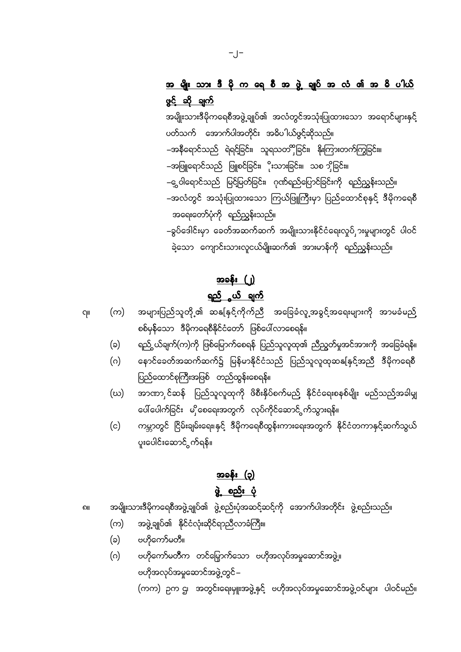# <u>အ မျိုး သား ဒီ မို က ရေ စီ အ ဖွဲ့ ချုပ် အ လံ ၏ အ ဓိ ပါယ်</u> ဖွင့် ဆို ချက်

အမျိုးသားဒီမိုကရေစီအဖွဲ့ချုပ်၏ အလံတွင်အသုံးပြုထားသော အရောင်များနှင့် ပတ်သက် အောက်ပါအတိုင်း အဓိပါယ်ဖွင့်ဆိုသည်။ –အနီရောင်သည် ရဲရင်ခြင်း၊ သူရသတိံှိခြင်း၊ နိုးကြားတက်ကြွခြင်း။ –အဖြူရောင်သည် ဖြူစင်ခြင်း၊ ိုးသားခြင်း။ သစ ၁ှိခြင်း။ –၉ ဝါရောင်သည် မြင့်မြတ်ခြင်း၊ ဂုဏ်ရည်ပြောင်ခြင်းကို ရည်ညွှန်းသည်။ –အလံတွင် အသုံးပြုထားသော ကြယ်ဖြူကြီးမှာ ပြည်ထောင်စုနှင့် ဒီမိုကရေစီ အရေးတော်ပုံကို ရည်ညွှန်းသည်။ –ခွပ်ဒေါင်းမှာ ခေတ်အဆက်ဆက် အမျိုးသားနိုင်ငံရေးလှုပ်ှားမှုများတွင် ပါဝင် ခဲ့သော ကျောင်းသားလူငယ်မျိုးဆက်၏ အားမာန်ကို ရည်ညွှန်းသည်။

# <u>အခန်း (၂)</u>

### <u>ရည် ယ် ချက်</u>

အများပြည်သူတို့၏ ဆနုနှင့်ကိုက်ညီ အခြေခံလူ့အခွင့်အရေးများကို အာမခံမည် (က) စစ်မှန်သော ဒီမိုကရေစီနိုင်ငံတော် ဖြစ်ပေါ်လာစေရန်။

- ရည် ယ်ချက်(က)ကို ဖြစ်မြောက်စေရန် ပြည်သူလူထု၏ ညီညွတ်မှုအင်အားကို အခြေခံရန်။ (ခ)
- နောင်ခေတ်အဆက်ဆက်၌ မြန်မာနိုင်ငံသည် ပြည်သူလူထုဆနုနှင့်အညီ ဒီမိုကရေစီ  $(\circ)$ ပြည်ထောင်စုကြီးအဖြစ် တည်ထွန်းစေရန်။
- အာဏာ င်ဆန် ပြည်သူလူထုကို ဖိစီးနှိပ်စက်မည် နိုင်ငံရေးစနစ်မျိုး မည်သည်အခါမျှ (ဃ) ပေါ်ပေါက်ခြင်း မှိုစေရေးအတွက် လုပ်ကိုင်ဆောင် ွက်သွားရန်။
- ကမ္ဘာတွင် ငြိမ်းချမ်းရေး၊နှင့် ဒီမိုကရေစီထွန်းကားရေးအတွက် နိုင်ငံတကာနှင့်ဆက်သွယ်  $(c)$ ပူးပေါင်းဆောင်္ဂွက်ရန်။

### အခန်း (၃) ဖွဲ့ စည်း ပုံ

- အမျိုးသားဒီမိုကရေစီအဖွဲ့ချုပ်၏ ဖွဲ့စည်းပုံအဆင့်ဆင့်ကို အောက်ပါအတိုင်း ဖွဲ့စည်းသည်။ ဂ။
	- အဖွဲ့ချုပ်၏ နိုင်ငံလုံးဆိုင်ရာညီလာခံကြီး။ (က)
	- ဗဟိုကော်မတီ။ (ခ)

qμ

ဗဟိုကော်မတီက တင်မြှောက်သော ဗဟိုအလုပ်အမှုဆောင်အဖွဲ့။ (ဂ) ဗဟိုအလုပ်အမှုဆောင်အဖွဲ့တွင် –

(ကက) ဉက ဌ၊ အတွင်းရေးမျုးအဖွဲ့နှင့် ဗဟိုအလုပ်အမှုဆောင်အဖွဲ့ဝင်များ ပါဝင်မည်။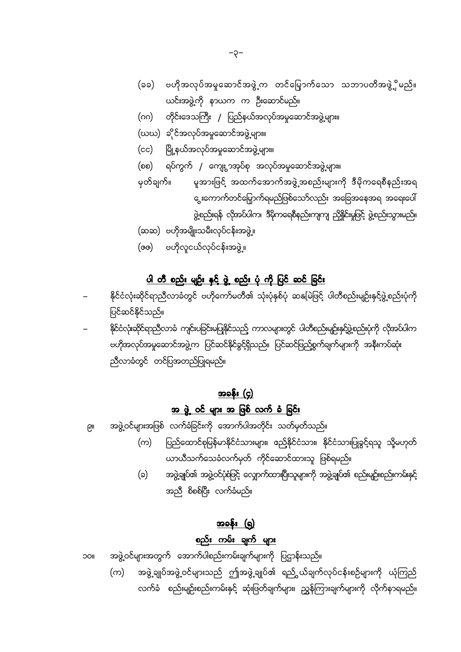- (ခခ) ဗဟိုအလုပ်အမှုဆောင်အဖွဲ့က တင်မြှောက်သော သဘာပတိအဖွဲ့္ပိမည်။ ယင်းအဖွဲ့ကို နာယက က ဦးဆောင်မည်။
- (ဂဂ) တိုင်းဒေသကြီး / ပြည်နယ်အလုပ်အမှုဆောင်အဖွဲ့များ။
- (ဃဃ) ခိုင်အလုပ်အမှုဆောင်အဖွဲ့များ။
- (cc) မြို့နယ်အလုပ်အမှုဆောင်အဖွဲ့များ။
- ရပ်ကွက် / ကျေးွာအုပ်စု အလုပ်အမှုဆောင်အဖွဲ့များ။ (စစ)

မူအားဖြင့် အထက်အောက်အဖွဲ့အစည်းများကို ဒီမိုကရေစီနည်းအရ မှတ်ချက်။ ွေးကောက်တင်မြှောက်ရမည်ဖြစ်သော်လည်း အခြေအနေအရ အရေးပေါ် ဖွဲ့စည်းရန် လိုအပ်ပါက၊ ဒီမိုကရေစီနည်းကျကျ ညှိနိူင်းမှုဖြင့် ဖွဲ့စည်းသွားမည်။

- (ဆဆ) ဗဟိုအမျိုးသမီးလုပ်ငန်းအဖွဲ့။
- (ဇဇ) ဗဟိုလူငယ်လုပ်ငန်းအဖွဲ့။

#### <u>ပါ တီ စည်း မျဉ်း နှင့် ဖွဲ့ စည်း ပုံ ကို ပြင် ဆင် ခြင်း</u>

- နိုင်ငံလုံးဆိုင်ရာညီလာခံတွင် ဗဟိုကော်မတီ၏ သုံးပုံနှစ်ပုံ ဆနေမြဲဖြင့် ပါတီစည်းမျဉ်းနှင့်ဖွဲ့စည်းပုံကို ပြင်ဆင်နိုင်သည်။
- နိုင်ငံလုံးဆိုင်ရာညီလာခံ ကျင်းပခြင်းမပြုနိုင်သည့် ကာလများတွင် ပါတီစည်းမျဉ်းနှင့်ဖွဲ့စည်းပုံကို လိုအပ်ပါက ဗဟိုအလုပ်အမှုဆောင်အဖွဲ့က ပြင်ဆင်နိုင်ခွင့်ရှိသည်။ ပြင်ဆင်ဖြည့်စွက်ချက်များကို အနီးကပ်ဆုံး ညီလာခံတွင် တင်ပြအတည်ပြုရမည်။

### <u>အခန်း (၄)</u> <u>အ ဖွဲ့ ဝင် များ အ ဖြစ် လက် ခံ ခြင်း</u>

- အဖွဲ့ဝင်များအဖြစ် လက်ခံခြင်းကို အောက်ပါအတိုင်း သတ်မှတ်သည်။ ତ୍ରା
	- ပြည်ထောင်စုမြန်မာနိုင်ငံသားများ၊ ဧည့်နိုင်ငံသား၊ နိုင်ငံသားပြုခွင့်ရသူ သို့မဟုတ် (က) ယာယီသက်သေခံလက်မှတ် ကိုင်ဆောင်ထားသူ ဖြစ်ရမည်။
	- အဖွဲ့ချုပ်၏ အဖွဲ့ဝင်ပုံစံဖြင့် လျှောက်ထားပြီးသူများကို အဖွဲ့ချုပ်၏ စည်းမျဉ်းစည်းကမ်းနှင့် (၁) အညီ စိစစ်ပြီး လက်ခံမည်။

# အခန်း (ရ)

### <u>စည်း ကမ်း ချက် များ</u>

- အဖွဲ့ဝင်များအတွက် အောက်ပါစည်းကမ်းချက်များကို ပြဌာန်းသည်။ **IIOC** 
	- အဖွဲ့ ချုပ်အဖွဲ့ ဝင်များသည် ဤအဖွဲ့ ချုပ်၏ ရည် ွယ်ချက်လုပ်ငန်းစဉ်များကို ယုံကြည် (က) လက်ခံ စည်းမျဉ်းစည်းကမ်းနှင့် ဆုံးဖြတ်ချက်များ၊ ညွှန်ကြားချက်များကို လိုက်နာရမည်။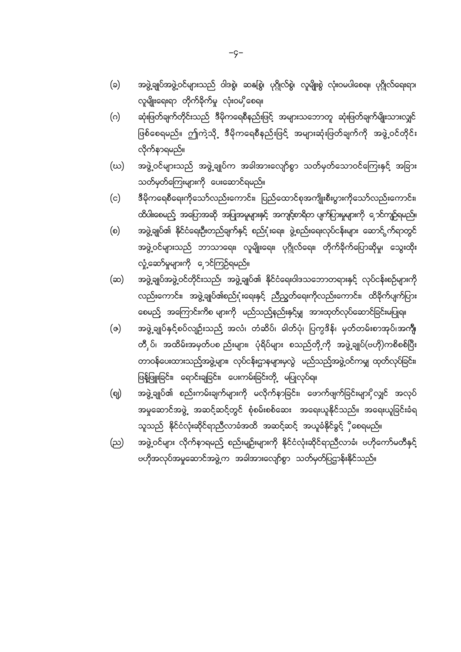အဖွဲ့ချုပ်အဖွဲ့ဝင်များသည် ဝါဒစွဲ၊ ဆနုစြွဲ၊ ပုဂ္ဂိုလ်စွဲ၊ လူမျိုးစွဲ လုံးဝမပါစေရ။ ပုဂ္ဂိုလ်ရေးရာ၊

ဆုံးဖြတ်ချက်တိုင်းသည် ဒီမိုကရေစီနည်းဖြင့် အများသဘောတူ ဆုံးဖြတ်ချက်မျိုးသားလျှင်

ဖြစ်စေရမည်။ ဤကဲ့သို့ ဒီမိုကရေစီနည်းဖြင့် အများဆုံးဖြတ်ချက်ကို အဖွဲ့ဝင်တိုင်း

အဖွဲ့ ဝင်များသည် အဖွဲ့ချုပ်က အခါအားလျော်စွာ သတ်မှတ်သောဝင်ကြေးနှင့် အခြား

ဒီမိုကရေစီရေးကိုသော်လည်းကောင်း၊ ပြည်ထောင်စုအကျိုးစီးပွားကိုသော်လည်းကောင်း၊

ထိပါးစေမည့် အပြောအဆို အပြုအမူများနှင့် အကျင့်စာရိတ ပျက်ပြားမှုများကို ၄ောင်ကျဉ်ရမည်။

အဖွဲ့ချုပ်၏ နိုင်ငံရေးဦးတည်ချက်နှင့် စည်းုံးရေး၊ ဖွဲ့စည်းရေးလုပ်ငန်းများ ဆောင် က်ရာတွင်

အဖွဲ့ဝင်များသည် ဘာသာရေး၊ လူမျိုးရေး၊ ပုဂ္ဂိုလ်ရေး၊ တိုက်ခိုက်ပြောဆိုမှု၊ သွေးထိုး

အဖွဲ့ချုပ်အဖွဲ့ဝင်တိုင်းသည်၊ အဖွဲ့ချုပ်၏ နိုင်ငံရေးဝါဒသဘောတရားနှင့် လုပ်ငန်းစဉ်များကို

လည်းကောင်း၊ အဖွဲ့ချုပ်၏စည်းံုးရေးနှင့် ညီညွှတ်ရေးကိုလည်းကောင်း၊ ထိခိုက်ပျက်ပြား

အဖွဲ့ ချုပ်နှင့်စပ်လျဉ်းသည် အလံ၊ တံဆိပ်၊ ဓါတ်ပုံ၊ ပြက္ခဒိန်၊ မှတ်တမ်းစာအုပ်၊အကျီ၊

တီှပ်၊ အထိမ်းအမှတ်ပစ ည်းများ၊ ပုံရိပ်များ စသည်တို့ကို အဖွဲ့ချုပ်(ဗဟို)ကစိစစ်ပြီး

တာဝန်ပေးထားသည့်အဖွဲ့များ၊ လုပ်ငန်းဌာနများမှလွဲ မည်သည့်အဖွဲ့ဝင်ကမျှ ထုတ်လုပ်ခြင်း၊

အဖွဲ့ချုပ်၏ စည်းကမ်းချက်များကို မလိုက်နာခြင်း၊ ဖောက်ဖျက်ခြင်းများိုလျှင် အလုပ်

အမှုဆောင်အဖွဲ့ အဆင့်ဆင့်တွင် စုံစမ်းစစ်ဆေး အရေးယူနိုင်သည်။ အရေးယူခြင်းခံရ

အဖွဲ့ဝင်များ လိုက်နာရမည် စည်းမျဉ်းများကို နိုင်ငံလုံးဆိုင်ရာညီလာခံ၊ ဗဟိုကော်မတီနှင့်

သူသည် နိုင်ငံလုံးဆိုင်ရာညီလာခံအထိ အဆင့်ဆင့် အယူခံနိုင်ခွင့် ိုစေရမည်။

ဗဟိုအလုပ်အမှုဆောင်အဖွဲ့က အခါအားလျော်စွာ သတ်မှတ်ပြဌာန်းနိုင်သည်။

ဖြန့်ဖြူးခြင်း၊ ရောင်းချခြင်း၊ ပေးကမ်းခြင်းတို့ မပြုလုပ်ရ။

စေမည် အကြောင်းကိစ များကို မည်သည့်နည်းနှင့်မျှ အားထုတ်လုပ်ဆောင်ခြင်းမပြုရ။

- 
- လူမျိုးရေးရာ တိုက်ခိုက်မှု လုံးဝမှိုစေရ။
- $(\circ)$
- 

 $(\circ)$ 

(ဃ)

 $(c)$ 

 $(\circ)$ 

(ဆ)

(ဇ)

 $\left($ စုု)

(ည)

လိုက်နာရမည်။

သတ်မှတ်ကြေးများကို ပေးဆောင်ရမည်။

လှုံ့ဆော်မှုများကို ှောင်ကြဉ်ရမည်။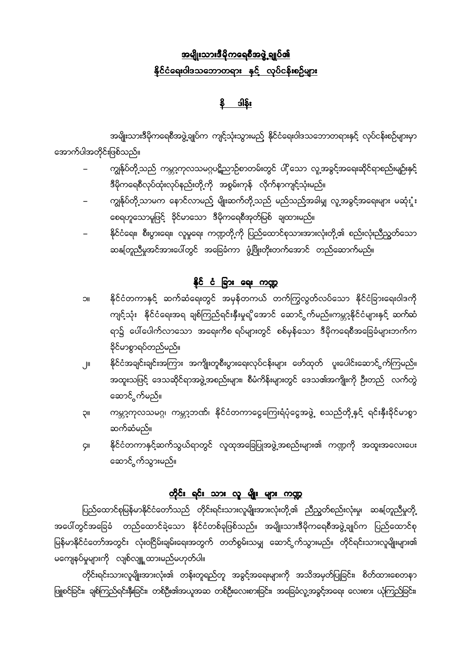# <u>အမျိုးသားဒီမိုကရေစီအဖွဲ့ ချုပ်၏</u> <u>နိုင်ငံရေးဝါဒသဘောတရား နှင့် လုပ်ငန်းစဉ်များ</u>

န္မွီ ဒါနိုး

အမျိုးသားဒီမိုကရေစီအဖွဲ့ချုပ်က ကျင့်သုံးသွားမည် နိုင်ငံရေးဝါဒသဘောတရားနှင့် လုပ်ငန်းစဉ်များမှာ အောက်ပါအတိုင်းဖြစ်သည်။

- ကျွန်ုပ်တို့သည် ကမ္ဘာ့ကုလသမဂ္ဂပဋိညာဉ်စာတမ်းတွင် ပါှိသော လူ့အခွင့်အရေးဆိုင်ရာစည်းမျဉ်းနှင့် ဒီမိုကရေစီလုပ်ထုံးလုပ်နည်းတို့ကို အစွမ်းကုန် လိုက်နာကျင့်သုံးမည်။
- ကျွန်ုပ်တို့သာမက နောင်လာမည် မျိုးဆက်တို့သည် မည်သည်အခါမျှ လူ့အခွင့်အရေးများ မဆုံးှုံး စေရဟူသောမူဖြင့် ခိုင်မာသော ဒီမိုကရေစီအုတ်မြစ် ချထားမည်။
- နိုင်ငံရေး၊ စီးပွားရေး၊ လူမှုရေး ကဏ္ဍတို့ကို ပြည်ထောင်စုသားအားလုံးတို့၏ စည်းလုံးညီညွတ်သော ဆနုတြူညီမှုအင်အားပေါ်တွင် အခြေခံကာ ဖွံ့ဖြိုးတိုးတက်အောင် တည်ဆောက်မည်။

### <u>နိုင် ငံ ခြား ရေး ကဏ္ဍ</u>

- နိုင်ငံတကာနှင့် ဆက်ဆံရေးတွင် အမှန်တကယ် တက်ကြွလွတ်လပ်သော နိုင်ငံခြားရေးဝါဒကို  $\blacksquare$ ကျင့်သုံး နိုင်ငံရေးအရ ချစ်ကြည်ရင်းနှီးမှုရှိအောင် ဆောင်ွက်မည်။ကမ္ဘာ့နိုင်ငံများနှင့် ဆက်ဆံ ရာ၌ ပေါ်ပေါက်လာသော အရေးကိစ ရပ်များတွင် စစ်မှန်သော ဒီမိုကရေစီအခြေခံများဘက်က ခိုင်မာစွာရပ်တည်မည်။
- နိုင်ငံအချင်းချင်းအကြား အကျိုးတူစီးပွားရေးလုပ်ငန်းများ ဖော်ထုတ် ပူးပေါင်းဆောင် ွက်ကြမည်။  $\mathbb{I}$ အထူးသဖြင့် ဒေသဆိုင်ရာအဖွဲ့အစည်းများ၊ စီမံကိန်းများတွင် ဒေသ၏အကျိုးကို ဦးတည် လက်တွဲ ဆောင်္ဂွက်မည်။
- ကမ္ဘာ့ကုလသမဂ္ဂ၊ ကမ္ဘာ့ဘဏ်၊ နိုင်ငံတကာငွေကြေးရံပုံငွေအဖွဲ့ စသည်တို့နှင့် ရင်းနှီးခိုင်မာစွာ **IIÇ** ဆက်ဆံမည်။
- နိုင်ငံတကာနှင့်ဆက်သွယ်ရာတွင် လူထုအခြေပြုအဖွဲ့အစည်းများ၏ ကဏ္ဍကို အထူးအလေးပေး ÇII ဆောင်္ဂက်သွားမည်။

# <u>တိုင်း ရင်း သား လူ မျိုး များ ကဏ္ဍ</u>

ပြည်ထောင်စုမြန်မာနိုင်ငံတော်သည် တိုင်းရင်းသားလူမျိုးအားလုံးတို့၏ ညီညွတ်စည်းလုံးမှု၊ ဆနုတြူညီမှုတို့ အပေါ်တွင်အခြေခံ တည်ထောင်ခဲ့သော နိုင်ငံတစ်ခုဖြစ်သည်။ အမျိုးသားဒီမိုကရေစီအဖွဲ့ချုပ်က ပြည်ထောင်စု မြန်မာနိုင်ငံတော်အတွင်း လုံးဝငြိမ်းချမ်းရေးအတွက် တတ်စွမ်းသမျှ ဆောင်ွက်သွားမည်။ တိုင်ရင်းသားလူမျိုးများ၏ မကျေနပ်မှုများကို လျစ်လျူ့ထားမည်မဟုတ်ပါ။

တိုင်းရင်းသားလူမျိုးအားလုံး၏ တန်းတူရည်တူ အခွင့်အရေးများကို အသိအမှတ်ပြုခြင်း၊ စိတ်ထားစေတနာ ဖြူစင်ခြင်း၊ ချစ်ကြည်ရင်းနှီးခြင်း၊ တစ်ဦး၏အယူအဆ တစ်ဦးလေးစားခြင်း၊ အခြေခံလူ့အခွင့်အရေး လေးစား ယုံကြည်ခြင်း၊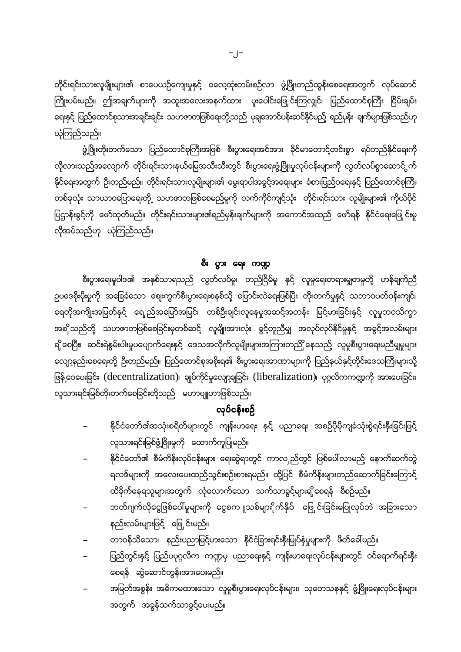တိုင်းရင်းသားလူမျိုးများ၏ စာပေယဉ်ကျေးမှုနှင့် ဓလေ့ထုံးတမ်းစဉ်လာ ဖွံ့ဖြိုးတည်ထွန်းစေရေးအတွက် လုပ်ဆောင် ကြိုးပမ်းမည်။ ဤအချက်များကို အထူးအလေးအနက်ထား ပူးပေါင်းဖြေ့င်းကြလျှင်၊ ပြည်ထောင်စုကြီး ငြိမ်းချမ်း ရေးနှင့် ပြည်ထောင်စုသားအချင်းချင်း သဟဇာတဖြစ်ရေးတို့သည် မုချအောင်ပန်းဆင်နိုင်မည့် ရည်မှန်း ချက်များဖြစ်သည်ဟု ယုံကြည်သည်။

ဖွံ့ဖြိုးတိုးတက်သော ပြည်ထောင်စုကြီးအဖြစ် စီးပွားရေးအင်အား ခိုင်မာတောင့်တင်းစွာ ရပ်တည်နိုင်ရေးကို လိုလားသည်အလျောက် တိုင်းရင်းသားနယ်မြေအသီးသီးတွင် စီးပွားရေးဖွံ့ဖြိုးမှုလုပ်ငန်းများကို လွတ်လပ်စွာဆောင် ွက် နိုင်ရေးအတွက် ဦးတည်မည်။ တိုင်းရင်းသားလူမျိုးများ၏ မွေးရာပါအခွင့်အရေးများ ခံစားပြည့်ဝရေးနှင့် ပြည်ထောင်စုကြီး တစ်ခုလုံး သာယာဝပြောရေးတို့ သဟဇာတဖြစ်စေမည်မူကို လက်ကိုင်ကျင့်သုံး တိုင်းရင်းသား လူမျိုးများ၏ ကိုယ်ပိုင် ပြဌာန်းခွင့်ကို ဖော်ထုတ်မည်။ တိုင်းရင်းသားများ၏ရည်မှန်းချက်များကို အကောင်အထည် ဖော်ရန် နိုင်ငံရေးဖြေ့ င်းမှု လိုအပ်သည်ဟု ယုံကြည်သည်။

#### <u>စီး ပွား ရေး ကဏ္ဍ</u>

စီးပွားရေးမူဝါဒ၏ အနှစ်သာရသည် လွတ်လပ်မှု၊ တည်ငြိမ်မှု နှင့် လူမှုရေးတရားမျှတမှုတို့ ဟန်ချက်ညီ ဉပဒေစိုးမိုးမှုကို အခြေခံသော ဈေးကွက်စီးပွားရေးစနစ်သို့ ပြောင်းလဲရေးဖြစ်ပြီး တိုးတက်မှုနှင့် သဘာဝပတ်ဝန်းကျင်၊ ရေတိုအကျိုးအမြတ်နှင့် ရေည်အမြော်အမြင်၊ တစ်ဦးချင်းလူနေမှုအဆင့်အတန်း မြင့်မားခြင်းနှင့် လူမှုဘဝသိက္ခာ အစှိသည်တို့ သဟဇာတဖြစ်စေခြင်းမှတစ်ဆင့် လူမျိုးအားလုံး ခွင့်တူညီမျှ အလုပ်လုပ်နိုင်မှုနှင့် အခွင့်အလမ်းများ ရှိ စေပြီး၊ ဆင်းရဲနွမ်းပါးမှုပပျောက်ရေးနှင့် ဒေသအလိုက်လူမျိုးများအကြားတည်ှို နေသည့် လူမှုစီးပွားရေးမညီမျှမှုများ လျော့နည်းစေရေးတို့ ဦးတည်မည်။ ပြည်ထောင်စုအစိုးရ၏ စီးပွားရေးအာဏာများကို ပြည်နယ်နှင့်တိုင်းဒေသကြီးများသို့ ဖြန့် ဝေပေးခြင်း (decentralization)၊ ချုပ်ကိုင်မှုလျော့ချခြင်း (liberalization)၊ ပုဂ္ဂလိကကဏ္ဍကို အားပေးခြင်း၊ လူသားရင်းမြစ်တိုးတက်စေခြင်းတို့သည် မဟာဗျူဟာဖြစ်သည်။

#### <u>လုပ်ငန်းစဉ်</u>

- နိုင်ငံတော်၏အသုံးစရိတ်များတွင် ကျန်းမာရေး နှင့် ပညာရေး အစဉ်ပိုမိုကျခံသုံးစွဲရင်းနှီးခြင်းဖြင့် လူသားရင်းမြစ်ဖွံ့ဖြိုးမှုကို ထောက်ကူပြုမည်။
- နိုင်ငံတော်၏ စီမံကိန်းလုပ်ငန်းများ ရေးဆွဲရာတွင် ကာလ ည်တွင် ဖြစ်ပေါ်လာမည် နောက်ဆက်တွဲ ရလဒ်များကို အလေးပေးထည့်သွင်းစဉ်းစားရမည်။ ထို့ပြင် စီမံကိန်းများတည်ဆောက်ခြင်းကြောင့် ထိခိုက်နေရသူများအတွက် လုံလောက်သော သက်သာခွင့်များရှိစေရန် စီစဉ်မည်။
- ဘတ်ဂျက်လိုငွေဖြစ်ပေါ်မှုများကို ငွေစကျူသစ်များိုက်နှိပ် ဖြေှင်းခြင်းမပြုလုပ်ဘဲ အခြားသော နည်းလမ်းများဖြင့် ဖြေ့င်းမည်။
- တာဝန်သိသော၊ နည်းပညာမြင့်မားသော နိုင်ငံခြားရင်းနှီးမြုပ်နှံမှုများကို ဖိတ်ခေါ်မည်။
- ပြည်တွင်းနှင့် ပြည်ပပုဂ္ဂလိက ကဏ္ဍမှ ပညာရေးနှင့် ကျန်းမာရေးလုပ်ငန်းများတွင် ဝင်ရောက်ရင်းနှီး စေရန် ဆွဲဆောင်တွန်းအားပေးမည်။
- အမြတ်အစွန်း အဓိကမထားသော လူမှုစီးပွားရေးလုပ်ငန်းများ၊ သုတေသနနှင့် ဖွံ့ဖြိုးရေးလုပ်ငန်းများ အတွက် အခွန်သက်သာခွင့်ပေးမည်။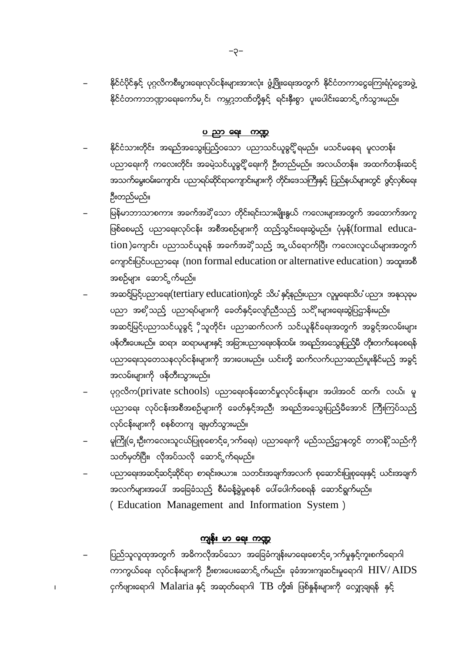နိုင်ငံပိုင်နှင့် ပုဂ္ဂလိကစီးပွားရေးလုပ်ငန်းများအားလုံး ဖွံ့ဖြိုးရေးအတွက် နိုင်ငံတကာငွေကြေးရံပုံငွေအဖွဲ့ နိုင်ငံတကာဘဏ္ဍာရေးကော်မှ င်၊ ကမ္ဘာ့ဘဏ်တို့နှင့် ရင်းနှီးစွာ ပူးပေါင်းဆောင် ွက်သွားမည်။

#### ပ ညာ ရေး ကဏ္ဍ

- နိုင်ငံသားတိုင်း အရည်အသွေးပြည့်ဝသော ပညာသင်ယူခွင့်ို့ရမည်။ မသင်မနေရ မူလတန်း ပညာရေးကို ကလေးတိုင်း အခမဲ့သင်ယူခွင့်ို့ရေးကို ဦးတည်မည်။ အလယ်တန်း၊ အထက်တန်းဆင့် အသက်မွေးဝမ်းကျောင်း ပညာရပ်ဆိုင်ရာကျောင်းများကို တိုင်းဒေသကြီးနှင့် ပြည်နယ်များတွင် ဖွင့်လှစ်ရေး ဦးတည်မည်။
- မြန်မာဘာသာစကား အခက်အခိုသော တိုင်းရင်းသားမျိုးနွယ် ကလေးများအတွက် အထောက်အကူ ဖြစ်စေမည် ပညာရေးလုပ်ငန်း အစီအစဉ်များကို ထည်သွင်းရေးဆွဲမည်။ ပုံမှန်(formal education )ကျောင်း ပညာသင်ယူရန် အခက်အခဲှိသည့် အွယ်ရောက်ပြီး ကလေးလူငယ်များအတွက် ကျောင်းပြင်ပပညာရေး (non formal education or alternative education) အထူးအစီ အစဉ်များ ဆောင်္ဂွက်မည်။
- အဆင့်မြင့်ပညာရေး(tertiary education)တွင် သိပ နှင့်နည်းပညာ၊ လူမှုရေးသိပ ပညာ၊ အနုသုခုမ ပညာ အစှိသည် ပညာရပ်များကို ခေတ်နှင့်လျော်ညီသည် သင်ိုးများရေးဆွဲပြဌာန်းမည်။ အဆင့်မြင့်ပညာသင်ယူခွင့် ှိသူတိုင်း ပညာဆက်လက် သင်ယူနိုင်ရေးအတွက် အခွင့်အလမ်းများ ဖန်တီးပေးမည်။ ဆရာ၊ ဆရာမများနှင့် အခြားပညာရေးဝန်ထမ်း အရည်အသွေးပြည့်မီ တိုးတက်နေစေရန် ပညာရေးသုတေသနလုပ်ငန်းများကို အားပေးမည်။ ယင်းတို့ ဆက်လက်ပညာဆည်းပူးနိုင်မည် အခွင့် အလမ်းများကို ဖန်တီးသွားမည်။
- ပုဂ္ဂလိက(private schools) ပညာရေးဝန်ဆောင်မှုလုပ်ငန်းများ အပါအဝင် ထက်၊ လယ်၊ မူ ပညာရေး လုပ်ငန်းအစီအစဉ်များကို ခေတ်နှင့်အညီ၊ အရည်အသွေးပြည်မီအောင် ကြီးကြပ်သည် လုပ်ငန်းများကို စနစ်တကျ ချမှတ်သွားမည်။
- မူကြို(ှေးဦးကလေးသူငယ်ပြုစုစောင့်ှောက်ရေး) ပညာရေးကို မည်သည့်ဌာနတွင် တာဝနိ်ုသည်ကို သတ်မှတ်ပြီး၊ လိုအပ်သလို ဆောင် ွက်ရမည်။
- ပညာရေးအဆင့်ဆင့်ဆိုင်ရာ စာရင်းဇယား၊ သတင်းအချက်အလက် စုဆောင်းပြုစုရေးနှင့် ယင်းအချက် အလက်များအပေါ် အခြေခံသည့် စီမံခန့်ခွဲမှုစနစ် ပေါ်ပေါက်စေရန် ဆောင်ရွက်မည်။ (Education Management and Information System)

#### <u>ကျန်း မာ ရေး ကဏ္ဍ</u>

 $\overline{1}$ 

ပြည်သူလူထုအတွက် အဓိကလိုအပ်သော အခြေခံကျန်းမာရေးစောင့်ှောက်မှုနှင့်ကူးစက်ရောဂါ ကာကွယ်ရေး လုပ်ငန်းများကို ဦးစားပေးဆောင် က်မည်။ ခုခံအားကျဆင်းမှုရောဂါ  $\rm HIV/ \,AIDS$ ငှက်ဖျားရောဂါ Malaria နှင့် အဆုတ်ရောဂါ TB တို့၏ ဖြစ်နှုန်းများကို လျှော့ချရန် နှင့်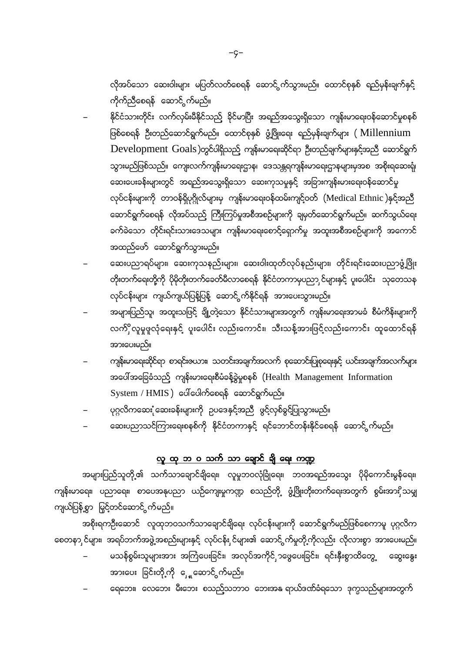လိုအပ်သော ဆေးဝါးများ မပြတ်လတ်စေရန် ဆောင် ွက်သွားမည်။ ထောင်စုနှစ် ရည်မှန်းချက်နှင့် ကိုက်ညီစေရန် ဆောင်္ငွက်မည်။

- နိုင်ငံသားတိုင်း လက်လှမ်းမီနိုင်သည် ခိုင်မာပြီး အရည်အသွေးရှိသော ကျန်းမာရေးဝန်ဆောင်မှုစနစ် ဖြစ်စေရန် ဦးတည်ဆောင်ရွက်မည်။ ထောင်စုနှစ် ဖွံ့ဖြိုးရေး ရည်မှန်းချက်များ ( Millennium Development Goals)တွင်ပါရှိသည့် ကျန်းမာရေးဆိုင်ရာ ဦးတည်ချက်များနှင့်အညီ ဆောင်ရွက် သွားမည်ဖြစ်သည်။ ကျေးလက်ကျန်းမာရေးဌာန၊ ဒေသန္တရကျန်းမာရေးဌာနများမှအစ အစိုးရဆေးရုံ၊ ဆေးပေးခန်းများတွင် အရည်အသွေးရှိသော ဆေးကုသမှုနှင့် အခြားကျန်းမားရေးဝန်ဆောင်မှု လုပ်ငန်းများကို တာဝန်ရှိပုဂ္ဂိုလ်များမှ ကျန်းမာရေးဝန်ထမ်းကျင့်ဝတ် (Medical Ethnic )နှင့်အညီ ဆောင်ရွက်စေရန် လိုအပ်သည် ကြီးကြပ်မှုအစီအစဉ်များကို ချမှတ်ဆောင်ရွက်မည်။ ဆက်သွယ်ရေး ခက််ခဲသော တိုင်းရင်းသားဒေသများ ကျန်းမာရေးစောင့်ရှောက်မှု အထူးအစီအစဉ်များကို အကောင် အထည်ဖော် ဆောင်ရွက်သွားမည်။
- ဆေးပညာရပ်များ၊ ဆေးကုသနည်းများ၊ ဆေးဝါးထုတ်လုပ်နည်းများ၊ တိုင်းရင်းဆေးပညာဖွံ့ဖြိုး တိုးတက်ရေးတို့ကို ပိုမိုတိုးတက်ခေတ်မီလာစေရန် နိုင်ငံတကာမှပညာ င်များနှင့် ပူးပေါင်း သုတေသန လုပ်ငန်းများ ကျယ်ကျယ်ပြန့်ပြန့် ဆောင်ွက်နိုင်ရန် အားပေးသွားမည်။
- အများပြည်သူ၊ အထူးသဖြင့် ချို့တဲ့သော နိုင်ငံသားများအတွက် ကျန်းမာရေးအာမခံ စီမံကိန်းများကို လက်ိှိလူမှုဖူလုံရေးနှင့် ပူးပေါင်း လည်းကောင်း၊ သီးသန့်အားဖြင့်လည်းကောင်း ထူထောင်ရန် အားပေးမည်။
- ကျန်းမာရေးဆိုင်ရာ စာရင်းဇယား၊ သတင်းအချက်အလက် စုဆောင်းပြုစုရေးနှင့် ယင်းအချက်အလက်များ အပေါ်အခြေခံသည် ကျန်းမားရေးစီမံခန့်ခွဲမှုစနစ် (Health Management Information  $\mathop{\rm System}\nolimits$  /  $\mathop{\rm HMIS}\nolimits$  ) ပေါ်ပေါက်စေရန် ဆောင်ရွက်မည်။
- ပုဂ္ဂလိကဆေး ုံဆေးခန်းများကို ဥပဒေနှင့်အညီ ဖွင့်လှစ်ခွင့်ပြုသွားမည်။
- ဆေးပညာသင်ကြားရေးစနစ်ကို နိုင်ငံတကာနှင့် ရင်ဘောင်တန်းနိုင်စေရန် ဆောင် က်မည်။

### <u>လူ ထု ဘ ၀ သက် သာ ချောင် ချိ ရေး ကဏ္ဍ</u>

အများပြည်သူတို့၏ သက်သာချောင်ချိရေး၊ လူမှုဘဝလုံခြုံရေး၊ ဘဝအရည်အသွေး ပိုမိုကောင်းမွန်ရေး၊ ကျန်းမာရေး၊ ပညာရေး၊ စာပေအနုပညာ ယဉ်ကျေးမှုကဏ္ဍ စသည်တို့ ဖွံ့ဖြိုးတိုးတက်ရေးအတွက် စွမ်းအားှိသမျှ ကျယ်ပြန့်စွာ မြှင့်တင်ဆောင် ွက်မည်။

အစိုးရကဦးဆောင် လူထုဘဝသက်သာချောင်ချိရေး လုပ်ငန်းများကို ဆောင်ရွက်မည်ဖြစ်စေကာမူ ပုဂ္ဂလိက စေတနာ ှင်များ၊ အရပ်ဘက်အဖွဲ့အစည်းများနှင့် လုပ်ငန်း ှင်များ၏ ဆောင်ွက်မှုတို့ကိုလည်း လိုလားစွာ အားပေးမည်။

- မသန်စွမ်းသူများအား အကြံပေးခြင်း၊ အလုပ်အကိုင်၂၁ဖွေပေးခြင်း၊ ရင်းနှီးစွာထိတွေ့ ဆွေးနွေး အားပေး ခြင်းတို့ကို ှေ့ဆောင်္ဂက်မည်။
- ရေဘေး၊ လေဘေး မီးဘေး စသည့်သဘာဝ ဘေးအနု ရာယ်ဒဏ်ခံရသော ဒုက္ခသည်များအတွက်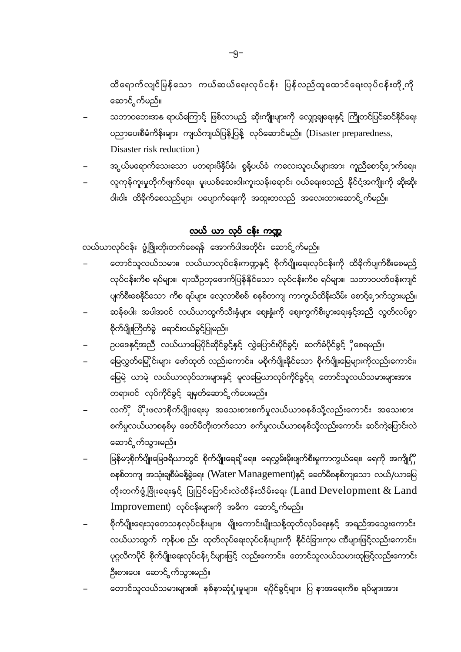ထိရောက်လျင်မြန်သော ကယ်ဆယ်ရေးလုပ်ငန်း ပြန်လည်ထူထောင်ရေးလုပ်ငန်းတို့ကို ဆောင်္ဂွက်မည်။

- သဘာဝဘေးအနု ရာယ်ကြောင့် ဖြစ်လာမည့် ဆိုးကျိုးများကို လျှော့ချရေးနှင့် ကြိုတင်ပြင်ဆင်နိုင်ရေး ပညာပေးစီမံကိန်းများ ကျယ်ကျယ်ပြန့်ပြန့် လုပ်ဆောင်မည်။ (Disaster preparedness, Disaster risk reduction)
- အွယ်မရောက်သေးသော မတရားဖိနှိပ်ခံ၊ စွန့်ပယ်ခံ ကလေးသူငယ်များအား ကူညီစောင့်၂ောက်ရေး၊
- လူကုန်ကူးမှုတိုက်ဖျက်ရေး၊ မူးယစ်ဆေးဝါးကူးသန်းရောင်း ဝယ်ရေးစသည် နိုင်ငံ့အကျိုးကို ဆိုးဆိုး ဝါးဝါး ထိခိုက်စေသည်များ ပပျောက်ရေးကို အထူးတလည် အလေးထားဆောင် ွက်မည်။

### လယ် ယာ လုပ် ငန်း ကဏ္ဍ

လယ်ယာလုပ်ငန်း ဖွံ့ဖြိုးတိုးတက်စေရန် အောက်ပါအတိုင်း ဆောင် ွက်မည်။

- တောင်သူလယ်သမား၊ လယ်ယာလုပ်ငန်းကဏ္ဍနှင့် စိုက်ပျိုးရေးလုပ်ငန်းကို ထိခိုက်ပျက်စီးစေမည် လုပ်ငန်းကိစ ရပ်များ၊ ရာသီဥတုဖောက်ပြန်နိုင်သော လုပ်ငန်းကိစ ရပ်များ၊ သဘာဝပတ်ဝန်းကျင် ပျက်စီးစေနိုင်သော ကိစ ရပ်များ လေ့လာစိစစ် စနစ်တကျ ကာကွယ်ထိန်းသိမ်း စောင့်ှောက်သွားမည်။
- ဆန်စပါး အပါအဝင် လယ်ယာထွက်သီးနှံများ ဈေးနှံးကို ဈေးကွက်စီးပွားရေးနှင့်အညီ လွတ်လပ်စွာ စိုက်ပျိုးကြိတ်ခွဲ ရောင်းဝယ်ခွင့်ပြုမည်။
- ဉပဒေနှင့်အညီ လယ်ယာမြေပိုင်ဆိုင်ခွင့်နှင့် လွှဲပြောင်းပိုင်ခွင့်၊ ဆက်ခံပိုင်ခွင့် ှိစေရမည်။
- မြေလွှတ်မြေ့ိုင်းများ ဖော်ထုတ် လည်းကောင်း၊ မစိုက်ပျိုးနိုင်သော စိုက်ပျိုးမြေများကိုလည်းကောင်း၊ မြေမဲ့ ယာမဲ့ လယ်ယာလုပ်သားများနှင့် မူလမြေယာလုပ်ကိုင်ခွင့်ရ တောင်သူလယ်သမားများအား တရားဝင် လုပ်ကိုင်ခွင့် ချမှတ်ဆောင် ွက်ပေးမည်။
- လက်ို မိိုးဖလာစိုက်ပျိုးရေးမှ အသေးစားစက်မှုလယ်ယာစနစ်သို့လည်းကောင်း အသေးစား စက်မှုလယ်ယာစနစ်မှ ခေတ်မီတိုးတက်သော စက်မှုလယ်ယာစနစ်သို့လည်းကောင်း ဆင်ကဲ့ပြောင်းလဲ ဆောင်္<sub>ဂ</sub>က်သွားမည်။
- မြန်မာ့စိုက်ပျိုးမြေငရိယာတွင် စိုက်ပျိုးရေရှိရေး၊ ရေလွှမ်းမိုးဖျက်စီးမှုကာကွယ်ရေး၊ ရေကို အကျိုး စနစ်တကျ အသုံးချစီမံခန့်ခွဲရေး (Water Management)နှင့် ခေတ်မီစနစ်ကျသော လယ်/ယာမြေ တိုးတက်ဖွံ့ဖြိုးရေးနှင့် ပြုပြင်ပြောင်းလဲထိန်းသိမ်းရေး ( $\mathop{\mathsf{Land}}\nolimits\mathop{\mathsf{Development}}\nolimits\&\mathop{\mathsf{Land}}\nolimits$ Improvement) လုပ်ငန်းများကို အဓိက ဆောင် က်မည်။
- စိုက်ပျိုးရေးသုတေသနလုပ်ငန်းများ၊ မျိုးကောင်းမျိုးသန့်ထုတ်လုပ်ရေးနှင့် အရည်အသွေးကောင်း လယ်ယာထွက် ကုန်ပစ ည်း ထုတ်လုပ်ရေးလုပ်ငန်းများကို နိုင်ငံခြားကုမ ဏီများဖြင့်လည်းကောင်း၊ ပုဂ္ဂလိကပိုင် စိုက်ပျိုးရေးလုပ်ငန်း ှင်များဖြင့် လည်းကောင်း၊ တောင်သူလယ်သမားထုဖြင့်လည်းကောင်း ဦးစားပေး ဆောင် က်သွားမည်။
- တောင်သူလယ်သမားများ၏ နစ်နာဆုံးုံးမှုများ၊ ရပိုင်ခွင့်များ ပြ နာအရေးကိစ ရပ်များအား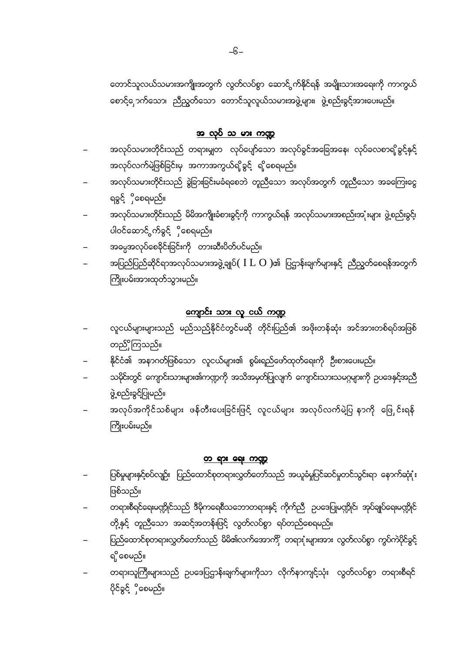တောင်သူလယ်သမားအကျိုးအတွက် လွတ်လပ်စွာ ဆောင် ွက်နိုင်ရန် အမျိုးသားအရေးကို ကာကွယ် စောင့်ြှောက်သော၊ ညီညွှတ်သော တောင်သူလူယ်သမားအဖွဲ့များ၊ ဖွဲ့စည်းခွင့်အားပေးမည်။

### <u>အ လုပ် သ မား ကဏ္ဍ</u>

- အလုပ်သမားတိုင်းသည် တရားမျှတ လုပ်ပျော်သော အလုပ်ခွင်အခြေအနေ၊ လုပ်ခလစာရှိခွင့်နှင့် အလုပ်လက်မဲ့ဖြစ်ခြင်းမှ အကာအကွယ်ရှိခွင့် ရှိစေရမည်။
- အလုပ်သမားတိုင်းသည် ခွဲခြားခြင်းမခံရစေဘဲ တူညီသော အလုပ်အတွက် တူညီသော အခကြေးငွေ ရခွင် ှိစေရမည်။
- အလုပ်သမားတိုင်းသည် မိမိအကျိုးခံစားခွင့်ကို ကာကွယ်ရန် အလုပ်သမားအစည်းအုံးများ ဖွဲ့စည်းခွင့်၊ ပါဝင်ဆောင်္ဂက်ခွင် ှိစေရမည်။
- အဓမ္မအလုပ်စေခိုင်းခြင်းကို တားဆီးပိတ်ပင်မည်။
- အပြည်ပြည်ဆိုင်ရာအလုပ်သမားအဖွဲ့ချုပ် $(~{\rm I} \ L ~ {\rm O}$  )၏ ပြဌာန်းချက်များနှင့် ညီညွှတ်စေရန်အတွက် ကြိုးပမ်းအားထုတ်သွားမည်။

# <u>ကျောင်း သား လူ ငယ် ကဏ္ဍ</u>

- လူငယ်များများသည် မည်သည်နိုင်ငံတွင်မဆို တိုင်းပြည်၏ အဖိုးတန်ဆုံး အင်အားတစ်ရပ်အဖြစ် တည်ိုကြသည်။
- နိုင်ငံ၏ အနာဂတ်ဖြစ်သော လူငယ်များ၏ စွမ်းရည်ဖော်ထုတ်ရေးကို ဦးစားပေးမည်။
- သမိုင်းတွင် ကျောင်းသားများ၏ကဏ္ဍကို အသိအမှတ်ပြုလျက် ကျောင်းသားသမဂ္ဂများကို ဥပဒေနှင့်အညီ ဖွဲ့စည်းခွင့်ပြုမည်။
- အလုပ်အကိုင်သစ်များ ဖန်တီးပေးခြင်းဖြင့် လူငယ်များ အလုပ်လက်မဲ့ပြ နာကို ဖြေှင်းရန် ကြိုးပမ်းမည်။

### <u>တ ရား ရေး ကဏ္ဍ</u>

- ပြစ်မှုများနှင့်စပ်လျဉ်း ပြည်ထောင်စုတရားလွှတ်တော်သည် အယူခံမှုပြင်ဆင်မှုတင်သွင်းရာ နောက်ဆုံးုံး ဖြစ်သည်။
- တရားစီရင်ရေးမဏ္ဍိုင်သည် ဒီမိုကရေစီသဘောတရားနှင့် ကိုက်ညီ ဥပဒေပြုမဏ္ဍိုင်၊ အုပ်ချုပ်ရေးမဏ္ဍိုင် တို့နှင့် တူညီသော အဆင့်အတန်းဖြင့် လွတ်လပ်စွာ ရပ်တည်စေရမည်။
- ပြည်ထောင်စုတရားလွှတ်တော်သည် မိမိ၏လက်အောက်ို တရားုံးများအား လွတ်လပ်စွာ ကွပ်ကဲပိုင်ခွင့် ရှိစေမည်။
- တရားသူကြီးများသည် ဥပဒေပြဌာန်းချက်များကိုသာ လိုက်နာကျင့်သုံး လွတ်လပ်စွာ တရားစီရင် ပိုင်ခွင့် ိုစေမည်။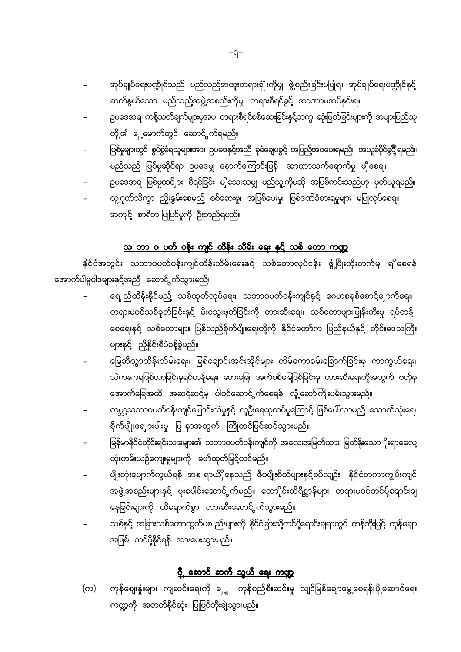- အုပ်ချုပ်ရေးမဏ္ဍိုင်သည် မည်သည်အထူးတရားခုံံုးကိုမျှ ဖွဲ့စည်းခြင်းမပြုရ။ အုပ်ချုပ်ရေးမဏ္ဍိုင်နှင့် ဆက်နွယ်သော မည်သည့်အဖွဲ့အစည်းကိုမျှ တရားစီရင်ခွင့် အာဏာမအပ်နှင်းရ။
- ဉပဒေအရ ကန့်သတ်ချက်များမှအပ တရားစီရင်စစ်ဆေးခြင်းနှင့်တကွ ဆုံးဖြတ်ခြင်းများကို အများပြည်သူ တို့၏ ှေ့မှောက်တွင် ဆောင်္ငှက်ရမည်။
- ပြစ်မှုများတွင် စွပ်စွဲခံရသူများအား ဥပဒေနှင့်အညီ ခုခံချေပခွင့် အပြည့်အဝပေးရမည်။ အယူခံပိုင်ခွင့် ရမည်။ မည်သည် ပြစ်မှုဆိုင်ရာ ဥပဒေမျှ နောက်ကြောင်းပြန် အာဏာသက်ရောက်မှု မှိုစေရ။
- ဉပဒေအရ ပြစ်မှုထင်ှား စီရင်ခြင်း မှိသေးသမျှ မည်သူ့ကိုမဆို အပြစ်ကင်းသည်ဟု မှတ်ယူရမည်။
- လူ့ဂုဏ်သိက္ခာ ညှိုးနွမ်းစေမည် စစ်ဆေးမှု၊ အပြစ်ပေးမှု၊ ပြစ်ဒဏ်ခံစားရမှုများ မပြုလုပ်စေရ။ အကျင့် စာရိတ ပြုပြင်မှုကို ဦးတည်ရမည်။

### သ ဘာ ၀ ပတ် ဝန်း ကျင် ထိန်း သိမ်း ရေး နှင့် သစ် တော ကဏ္ဍ

နိုင်ငံအတွင်း သဘာဝပတ်ဝန်းကျင်ထိန်းသိမ်းရေးနှင့် သစ်တောလုပ်ငန်း ဖွံ့ဖြိုးတိုးတက်မှု ရှိစေရန် အောက်ပါမူဝါဒများနှင့်အညီ ဆောင် ွက်သွားမည်။

- ရေ ည်ထိန်းနိုင်မည် သစ်ထုတ်လုပ်ရေး၊ သဘာဝပတ်ဝန်းကျင်နှင့် ဂေဟစနစ်စောင့်ှောက်ရေး၊ တရားမဝင်သစ်ခုတ်ခြင်းနှင့် မီးသွေးဖုတ်ခြင်းကို တားဆီးရေး၊ သစ်တောများပြုန်းတီးမှု ရပ်တန့် စေရေးနှင့် သစ်တောများ ပြန်လည်စိုက်ပျိုးရေးတို့ကို နိုင်ငံတော်က ပြည်နယ်နှင့် တိုင်းဒေသကြီး များနှင့် ညှိနှိုင်းစီမံခန့်ခွဲမည်။
- မြေဆီလွှာထိန်းသိမ်းရေး၊ မြစ်ချောင်းအင်းအိုင်များ တိမ်ကောခမ်းခြောက်ခြင်းမှ ကာကွယ်ရေး၊ သဲကန ာရဖြစ်လာခြင်းမှရပ်တန့်ရေး၊ ဆားမြေ၊ အက်စစ်မြေဖြစ်ခြင်းမှ တားဆီးရေးတို့အတွက် ဗဟိုမှ အောက်ခြေအထိ အဆင့်ဆင့်မှ ပါဝင်ဆောင် ွက်စေရန် လှုံ့ဆော်ကြိုးပမ်းသွားမည်။
- ကမ္ဘာ့သဘာဝပတ်ဝန်းကျင်ပြောင်းလဲမှုနှင့် လူဦးရေထူထပ်မှုကြောင့် ဖြစ်ပေါ်လာမည့် သောက်သုံးရေ၊ စိုက်ပျိုးရေ ားပါးမှု ပြ နာအတွက် ကြိုတင်ပြင်ဆင်သွားမည်။
- မြန်မာနိုင်ငံတိုင်းရင်းသားများ၏ သဘာဝပတ်ဝန်းကျင်ကို အလေးအမြတ်ထား မြတ်နိုးသော ိုးရာဓလေ့ ထုံးတမ်းယဉ်ကျေးမှုများကို ဖော်ထုတ်မြှင့်တင်မည်။
- မျိုးတုံးပျောက်ကွယ်ရန် အနု ရာယိှိနေသည် ဇီဝမျိုးစိတ်များနှင့်စပ်လျဉ်း နိုင်ငံတကာကျွမ်းကျင် အဖွဲ့အစည်းများနှင့် ပူးပေါင်းဆောင် ွက်မည်။ တောိုင်းတိရိစ္ဆာန်များ တရားမဝင်တင်ပို့ရောင်းချ နေခြင်းများကို ထိရောက်စွာ တားဆီးဆောင် ွက်သွားမည်။
- သစ်နှင့် အခြားသစ်တောထွက်ပစ ည်းများကို နိုင်ငံခြားသို့တင်ပို့ရောင်းချရာတွင် တန်ဘိုးမြင့် ကုန်ချော အဖြစ် တင်ပို့နိုင်ရန် အားပေးသွားမည်။

### <u>ပို့ ဆောင် ဆက် သွယ် ရေး ကဏ္ဍ</u>

ကုန်ဈေးနှံးများ ကျဆင်းရေးကို <sub>ျေ</sub> ကုန်စည်စီးဆင်းမှု လျင်မြန်ချောမွေ့စေရန်၊ပို့ဆောင်ရေး (က) ကဏ္ဍကို အတတ်နိုင်ဆုံး ပြုပြင်တိုးချဲ့သွားမည်။